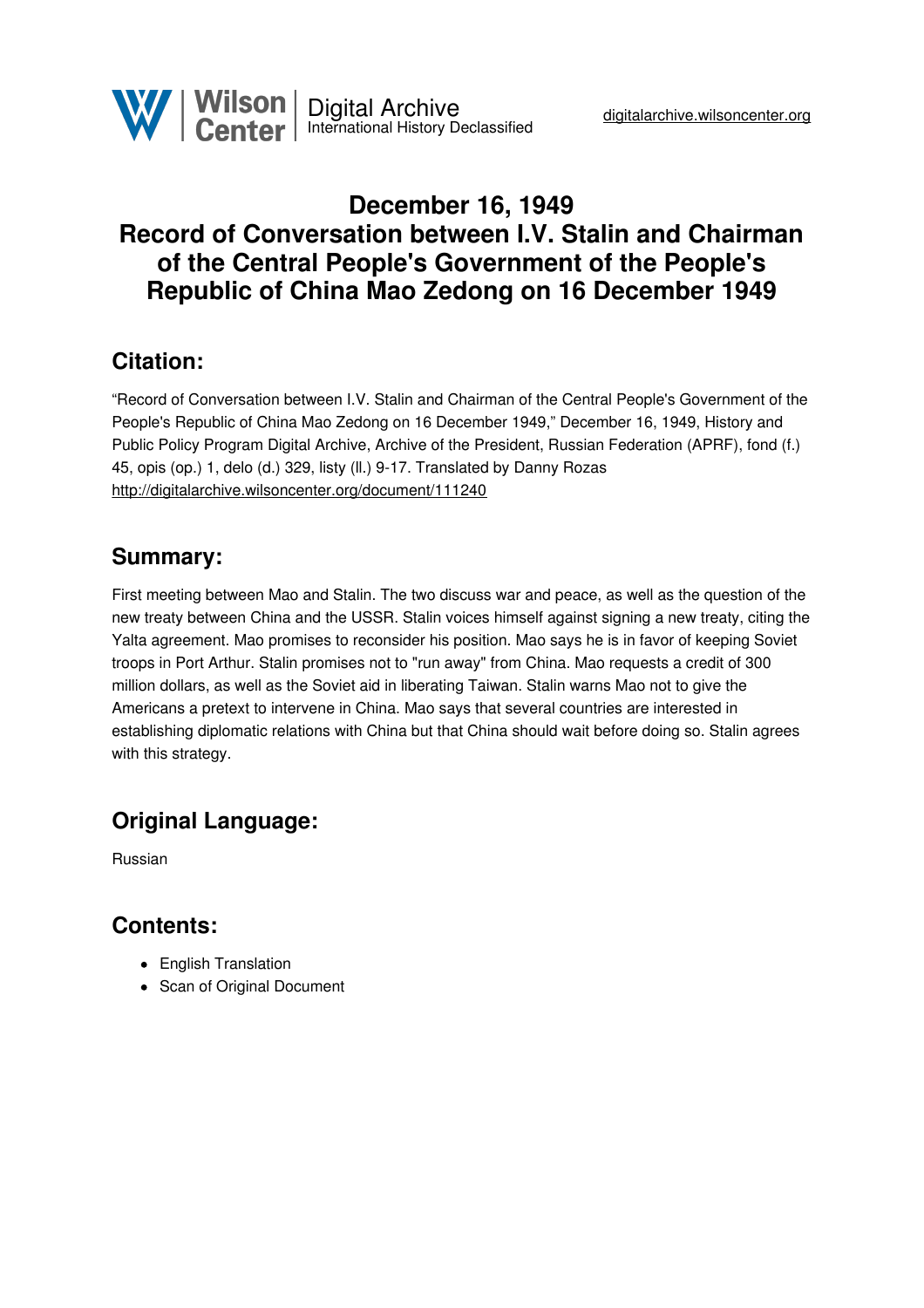

# **December 16, 1949 Record of Conversation between I.V. Stalin and Chairman of the Central People's Government of the People's Republic of China Mao Zedong on 16 December 1949**

# **Citation:**

"Record of Conversation between I.V. Stalin and Chairman of the Central People's Government of the People's Republic of China Mao Zedong on 16 December 1949," December 16, 1949, History and Public Policy Program Digital Archive, Archive of the President, Russian Federation (APRF), fond (f.) 45, opis (op.) 1, delo (d.) 329, listy (ll.) 9-17. Translated by Danny Rozas <http://digitalarchive.wilsoncenter.org/document/111240>

#### **Summary:**

First meeting between Mao and Stalin. The two discuss war and peace, as well as the question of the new treaty between China and the USSR. Stalin voices himself against signing a new treaty, citing the Yalta agreement. Mao promises to reconsider his position. Mao says he is in favor of keeping Soviet troops in Port Arthur. Stalin promises not to "run away" from China. Mao requests a credit of 300 million dollars, as well as the Soviet aid in liberating Taiwan. Stalin warns Mao not to give the Americans a pretext to intervene in China. Mao says that several countries are interested in establishing diplomatic relations with China but that China should wait before doing so. Stalin agrees with this strategy.

## **Original Language:**

Russian

## **Contents:**

- English Translation
- Scan of Original Document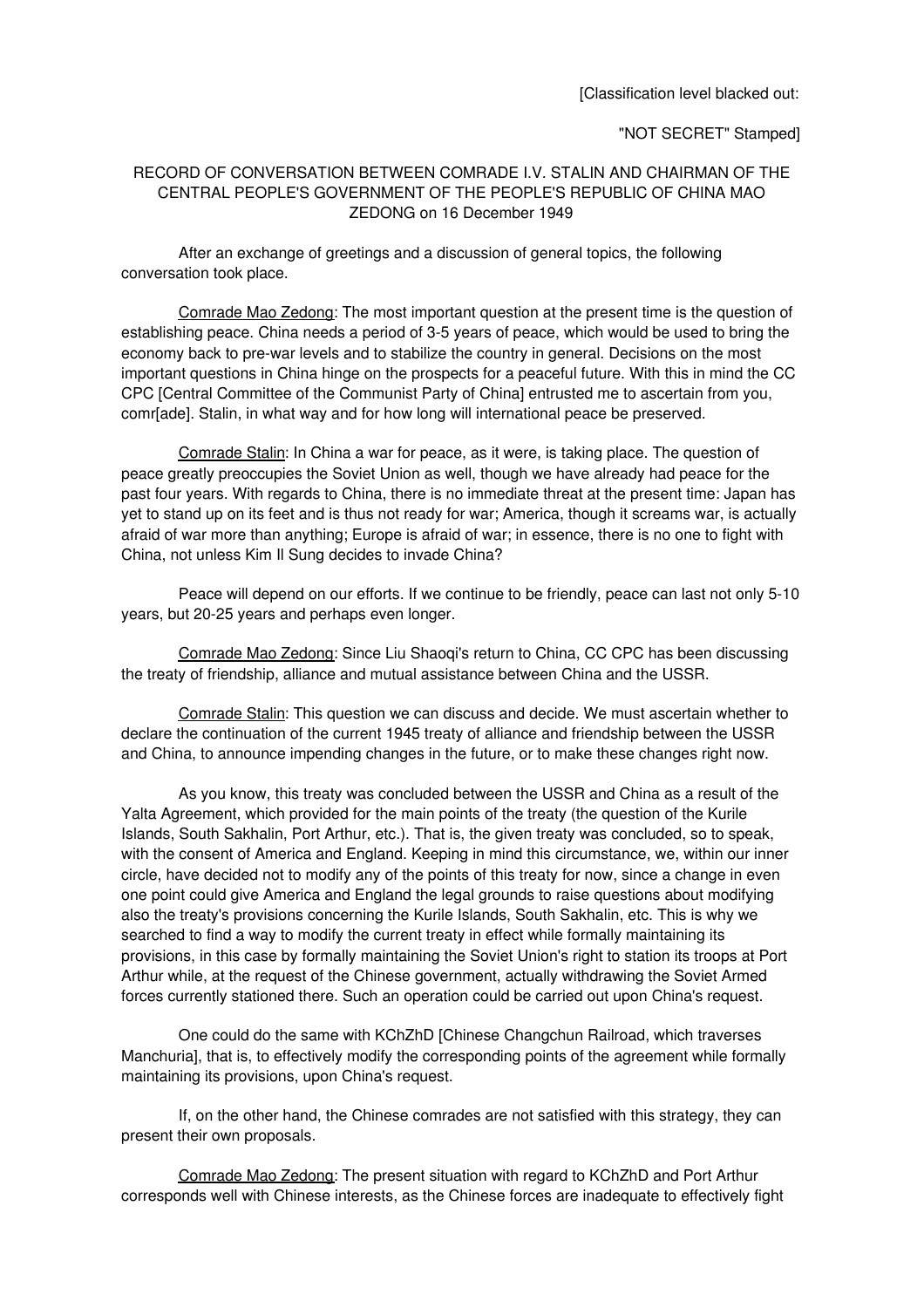[Classification level blacked out:

"NOT SECRET" Stamped]

#### RECORD OF CONVERSATION BETWEEN COMRADE I.V. STALIN AND CHAIRMAN OF THE CENTRAL PEOPLE'S GOVERNMENT OF THE PEOPLE'S REPUBLIC OF CHINA MAO ZEDONG on 16 December 1949

After an exchange of greetings and a discussion of general topics, the following conversation took place.

Comrade Mao Zedong: The most important question at the present time is the question of establishing peace. China needs a period of 3-5 years of peace, which would be used to bring the economy back to pre-war levels and to stabilize the country in general. Decisions on the most important questions in China hinge on the prospects for a peaceful future. With this in mind the CC CPC [Central Committee of the Communist Party of China] entrusted me to ascertain from you, comr[ade]. Stalin, in what way and for how long will international peace be preserved.

Comrade Stalin: In China a war for peace, as it were, is taking place. The question of peace greatly preoccupies the Soviet Union as well, though we have already had peace for the past four years. With regards to China, there is no immediate threat at the present time: Japan has yet to stand up on its feet and is thus not ready for war; America, though it screams war, is actually afraid of war more than anything; Europe is afraid of war; in essence, there is no one to fight with China, not unless Kim Il Sung decides to invade China?

Peace will depend on our efforts. If we continue to be friendly, peace can last not only 5-10 years, but 20-25 years and perhaps even longer.

Comrade Mao Zedong: Since Liu Shaoqi's return to China, CC CPC has been discussing the treaty of friendship, alliance and mutual assistance between China and the USSR.

Comrade Stalin: This question we can discuss and decide. We must ascertain whether to declare the continuation of the current 1945 treaty of alliance and friendship between the USSR and China, to announce impending changes in the future, or to make these changes right now.

As you know, this treaty was concluded between the USSR and China as a result of the Yalta Agreement, which provided for the main points of the treaty (the question of the Kurile Islands, South Sakhalin, Port Arthur, etc.). That is, the given treaty was concluded, so to speak, with the consent of America and England. Keeping in mind this circumstance, we, within our inner circle, have decided not to modify any of the points of this treaty for now, since a change in even one point could give America and England the legal grounds to raise questions about modifying also the treaty's provisions concerning the Kurile Islands, South Sakhalin, etc. This is why we searched to find a way to modify the current treaty in effect while formally maintaining its provisions, in this case by formally maintaining the Soviet Union's right to station its troops at Port Arthur while, at the request of the Chinese government, actually withdrawing the Soviet Armed forces currently stationed there. Such an operation could be carried out upon China's request.

One could do the same with KChZhD [Chinese Changchun Railroad, which traverses Manchuria], that is, to effectively modify the corresponding points of the agreement while formally maintaining its provisions, upon China's request.

If, on the other hand, the Chinese comrades are not satisfied with this strategy, they can present their own proposals.

Comrade Mao Zedong: The present situation with regard to KChZhD and Port Arthur corresponds well with Chinese interests, as the Chinese forces are inadequate to effectively fight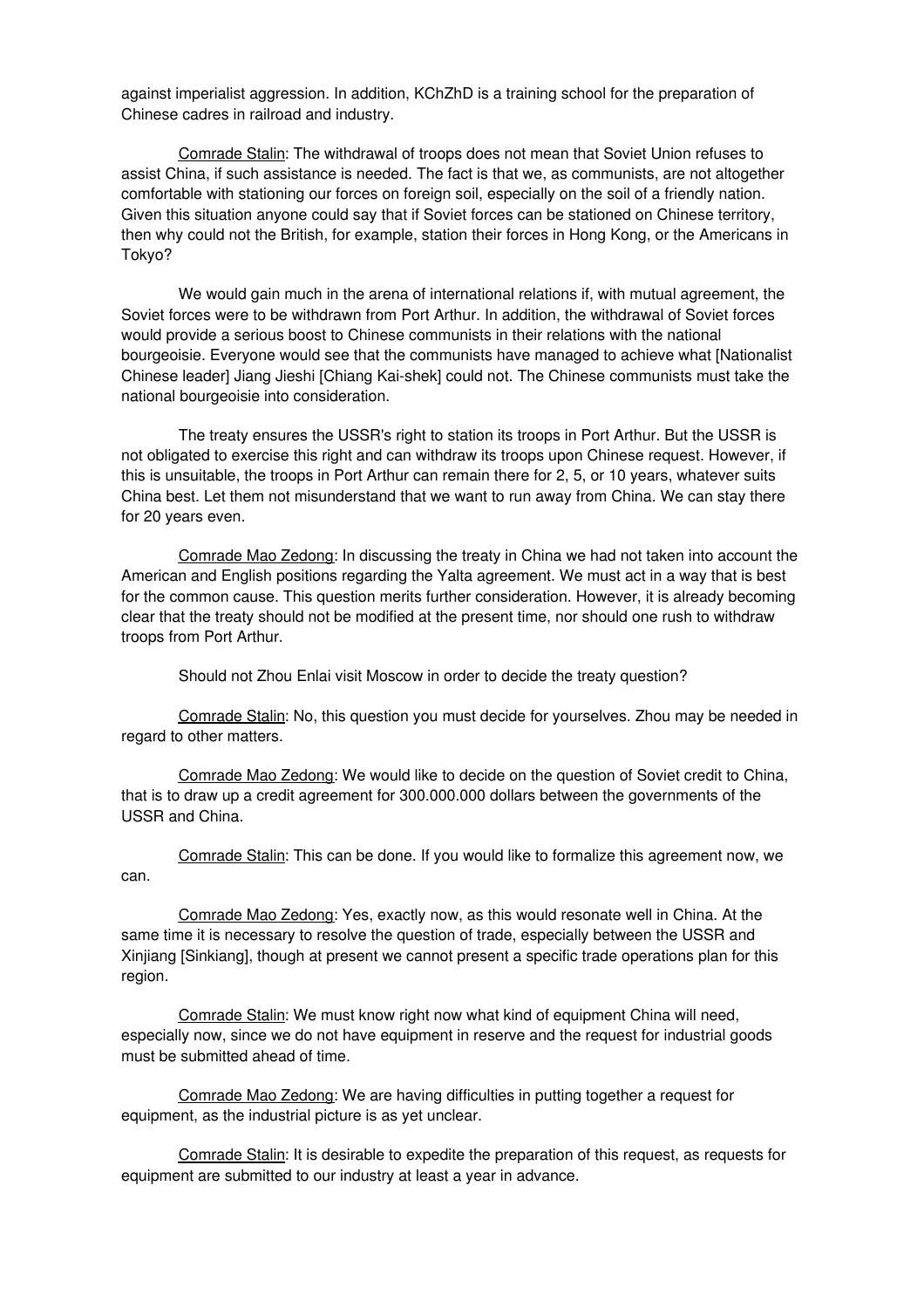against imperialist aggression. In addition, KChZhD is a training school for the preparation of Chinese cadres in railroad and industry.

Comrade Stalin: The withdrawal of troops does not mean that Soviet Union refuses to assist China, if such assistance is needed. The fact is that we, as communists, are not altogether comfortable with stationing our forces on foreign soil, especially on the soil of a friendly nation. Given this situation anyone could say that if Soviet forces can be stationed on Chinese territory, then why could not the British, for example, station their forces in Hong Kong, or the Americans in Tokyo?

We would gain much in the arena of international relations if, with mutual agreement, the Soviet forces were to be withdrawn from Port Arthur. In addition, the withdrawal of Soviet forces would provide a serious boost to Chinese communists in their relations with the national bourgeoisie. Everyone would see that the communists have managed to achieve what [Nationalist Chinese leader] Jiang Jieshi [Chiang Kai-shek] could not. The Chinese communists must take the national bourgeoisie into consideration.

The treaty ensures the USSR's right to station its troops in Port Arthur. But the USSR is not obligated to exercise this right and can withdraw its troops upon Chinese request. However, if this is unsuitable, the troops in Port Arthur can remain there for 2, 5, or 10 years, whatever suits China best. Let them not misunderstand that we want to run away from China. We can stay there for 20 years even.

Comrade Mao Zedong: In discussing the treaty in China we had not taken into account the American and English positions regarding the Yalta agreement. We must act in a way that is best for the common cause. This question merits further consideration. However, it is already becoming clear that the treaty should not be modified at the present time, nor should one rush to withdraw troops from Port Arthur.

Should not Zhou Enlai visit Moscow in order to decide the treaty question?

Comrade Stalin: No, this question you must decide for yourselves. Zhou may be needed in regard to other matters.

Comrade Mao Zedong: We would like to decide on the question of Soviet credit to China, that is to draw up a credit agreement for 300.000.000 dollars between the governments of the USSR and China.

Comrade Stalin: This can be done. If you would like to formalize this agreement now, we can.

Comrade Mao Zedong: Yes, exactly now, as this would resonate well in China. At the same time it is necessary to resolve the question of trade, especially between the USSR and Xinjiang [Sinkiang], though at present we cannot present a specific trade operations plan for this region.

Comrade Stalin: We must know right now what kind of equipment China will need, especially now, since we do not have equipment in reserve and the request for industrial goods must be submitted ahead of time.

Comrade Mao Zedong: We are having difficulties in putting together a request for equipment, as the industrial picture is as yet unclear.

Comrade Stalin: It is desirable to expedite the preparation of this request, as requests for equipment are submitted to our industry at least a year in advance.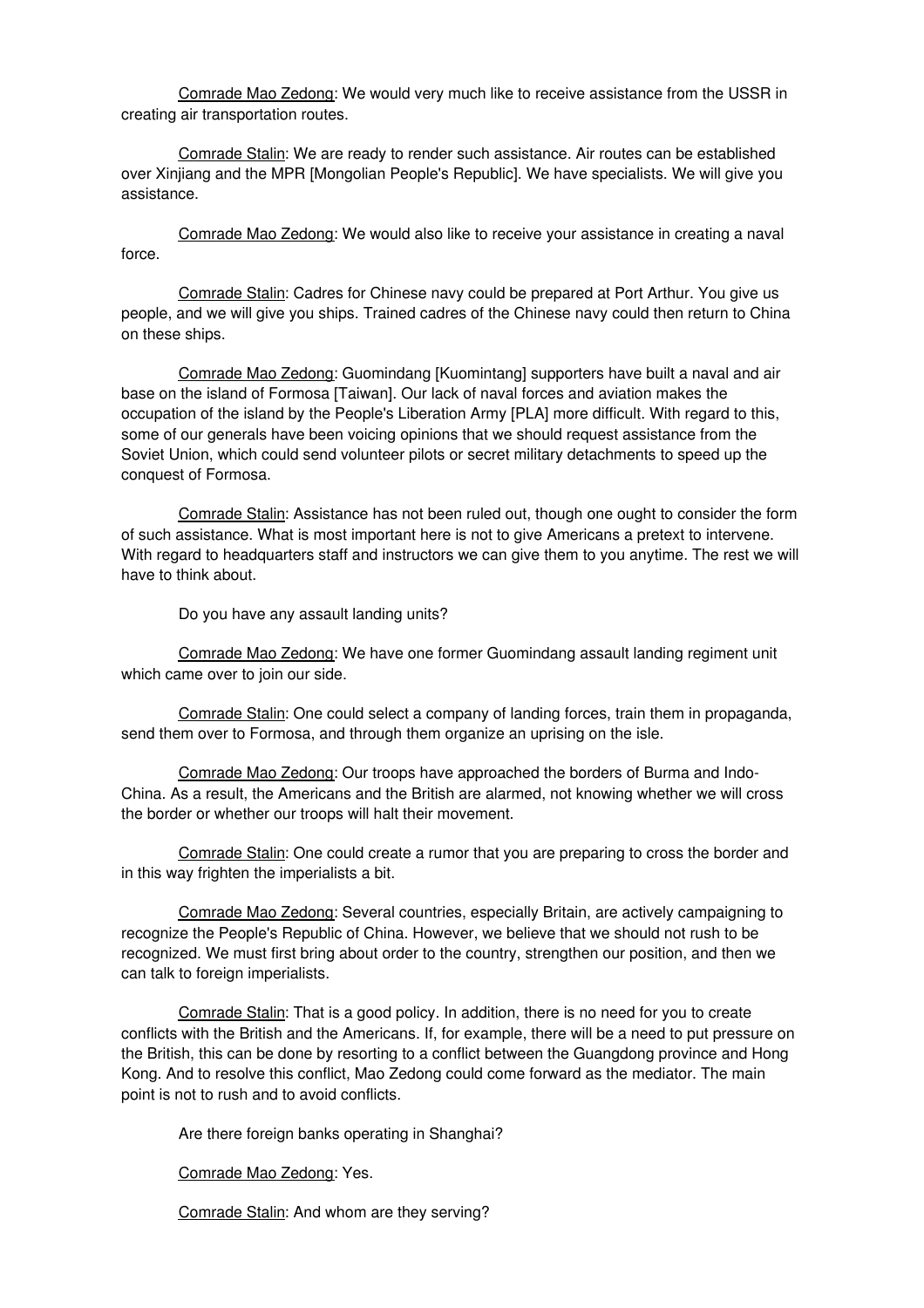Comrade Mao Zedong: We would very much like to receive assistance from the USSR in creating air transportation routes.

Comrade Stalin: We are ready to render such assistance. Air routes can be established over Xinjiang and the MPR [Mongolian People's Republic]. We have specialists. We will give you assistance.

Comrade Mao Zedong: We would also like to receive your assistance in creating a naval force.

Comrade Stalin: Cadres for Chinese navy could be prepared at Port Arthur. You give us people, and we will give you ships. Trained cadres of the Chinese navy could then return to China on these ships.

Comrade Mao Zedong: Guomindang [Kuomintang] supporters have built a naval and air base on the island of Formosa [Taiwan]. Our lack of naval forces and aviation makes the occupation of the island by the People's Liberation Army [PLA] more difficult. With regard to this, some of our generals have been voicing opinions that we should request assistance from the Soviet Union, which could send volunteer pilots or secret military detachments to speed up the conquest of Formosa.

Comrade Stalin: Assistance has not been ruled out, though one ought to consider the form of such assistance. What is most important here is not to give Americans a pretext to intervene. With regard to headquarters staff and instructors we can give them to you anytime. The rest we will have to think about.

Do you have any assault landing units?

Comrade Mao Zedong: We have one former Guomindang assault landing regiment unit which came over to join our side.

Comrade Stalin: One could select a company of landing forces, train them in propaganda, send them over to Formosa, and through them organize an uprising on the isle.

Comrade Mao Zedong: Our troops have approached the borders of Burma and Indo-China. As a result, the Americans and the British are alarmed, not knowing whether we will cross the border or whether our troops will halt their movement.

Comrade Stalin: One could create a rumor that you are preparing to cross the border and in this way frighten the imperialists a bit.

Comrade Mao Zedong: Several countries, especially Britain, are actively campaigning to recognize the People's Republic of China. However, we believe that we should not rush to be recognized. We must first bring about order to the country, strengthen our position, and then we can talk to foreign imperialists.

Comrade Stalin: That is a good policy. In addition, there is no need for you to create conflicts with the British and the Americans. If, for example, there will be a need to put pressure on the British, this can be done by resorting to a conflict between the Guangdong province and Hong Kong. And to resolve this conflict, Mao Zedong could come forward as the mediator. The main point is not to rush and to avoid conflicts.

Are there foreign banks operating in Shanghai?

Comrade Mao Zedong: Yes.

Comrade Stalin: And whom are they serving?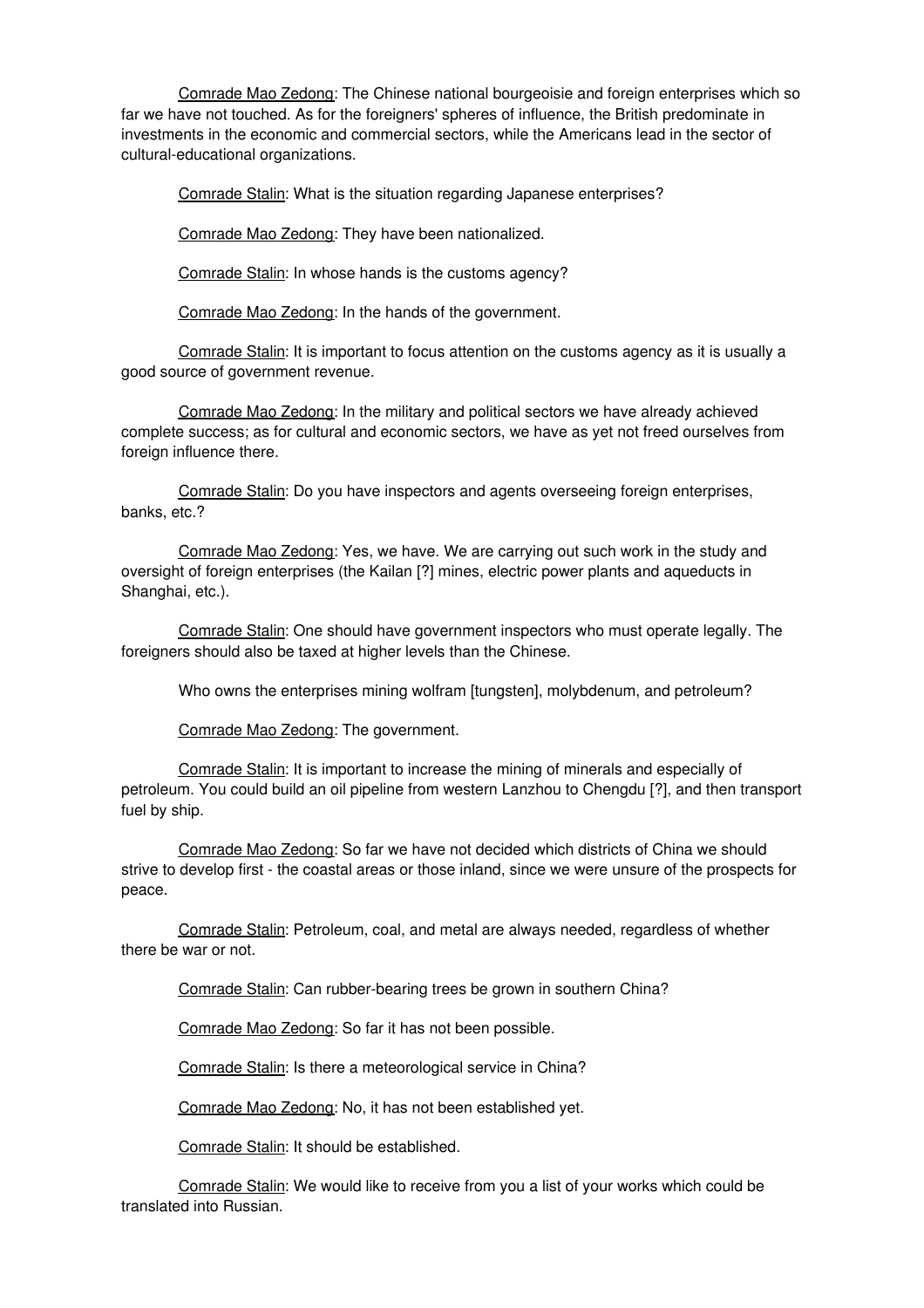Comrade Mao Zedong: The Chinese national bourgeoisie and foreign enterprises which so far we have not touched. As for the foreigners' spheres of influence, the British predominate in investments in the economic and commercial sectors, while the Americans lead in the sector of cultural-educational organizations.

Comrade Stalin: What is the situation regarding Japanese enterprises?

Comrade Mao Zedong: They have been nationalized.

Comrade Stalin: In whose hands is the customs agency?

Comrade Mao Zedong: In the hands of the government.

Comrade Stalin: It is important to focus attention on the customs agency as it is usually a good source of government revenue.

Comrade Mao Zedong: In the military and political sectors we have already achieved complete success; as for cultural and economic sectors, we have as yet not freed ourselves from foreign influence there.

Comrade Stalin: Do you have inspectors and agents overseeing foreign enterprises, banks, etc.?

Comrade Mao Zedong: Yes, we have. We are carrying out such work in the study and oversight of foreign enterprises (the Kailan [?] mines, electric power plants and aqueducts in Shanghai, etc.).

Comrade Stalin: One should have government inspectors who must operate legally. The foreigners should also be taxed at higher levels than the Chinese.

Who owns the enterprises mining wolfram [tungsten], molybdenum, and petroleum?

Comrade Mao Zedong: The government.

Comrade Stalin: It is important to increase the mining of minerals and especially of petroleum. You could build an oil pipeline from western Lanzhou to Chengdu [?], and then transport fuel by ship.

Comrade Mao Zedong: So far we have not decided which districts of China we should strive to develop first - the coastal areas or those inland, since we were unsure of the prospects for peace.

Comrade Stalin: Petroleum, coal, and metal are always needed, regardless of whether there be war or not.

Comrade Stalin: Can rubber-bearing trees be grown in southern China?

Comrade Mao Zedong: So far it has not been possible.

Comrade Stalin: Is there a meteorological service in China?

Comrade Mao Zedong: No, it has not been established yet.

Comrade Stalin: It should be established.

Comrade Stalin: We would like to receive from you a list of your works which could be translated into Russian.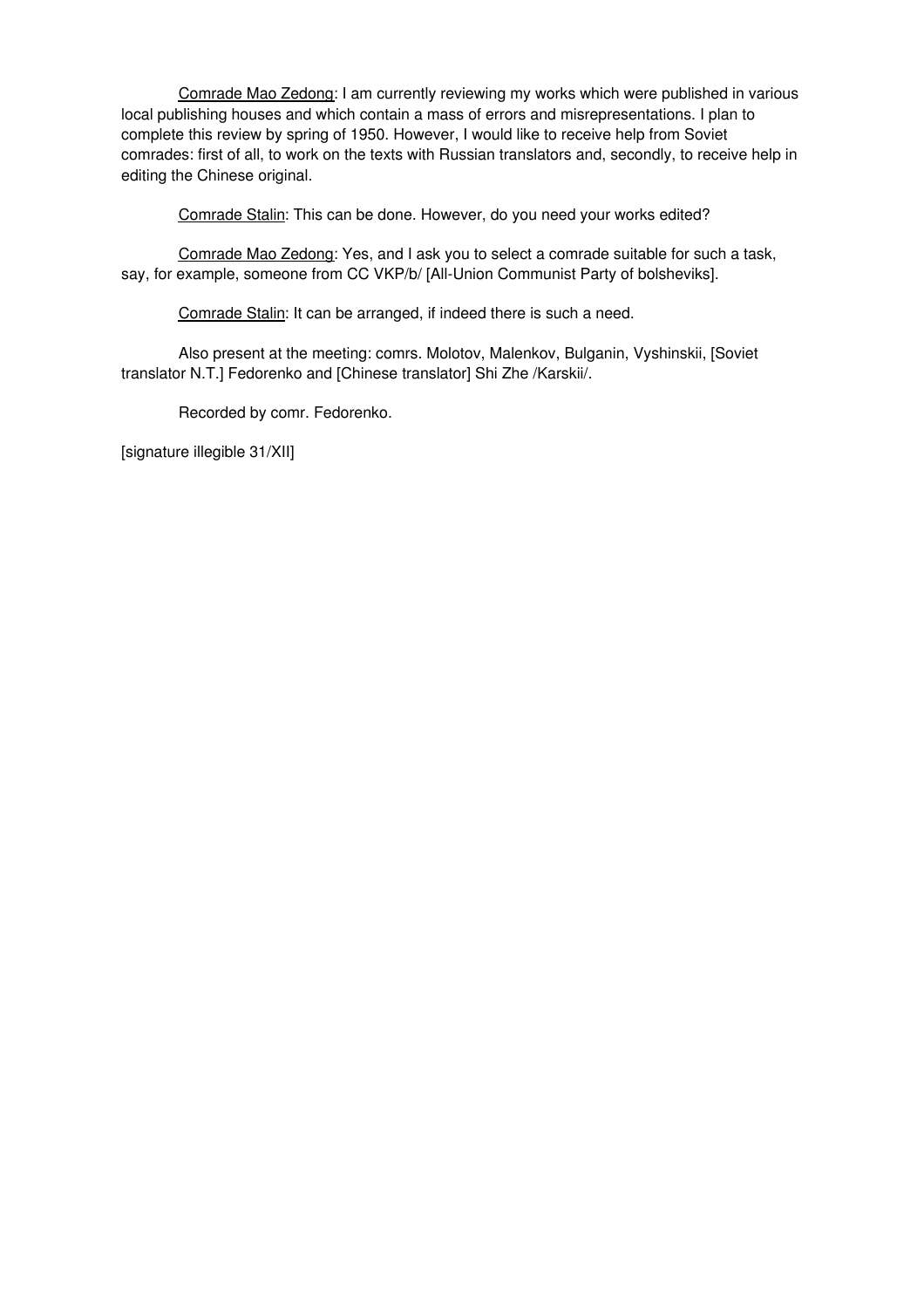Comrade Mao Zedong: I am currently reviewing my works which were published in various local publishing houses and which contain a mass of errors and misrepresentations. I plan to complete this review by spring of 1950. However, I would like to receive help from Soviet comrades: first of all, to work on the texts with Russian translators and, secondly, to receive help in editing the Chinese original.

Comrade Stalin: This can be done. However, do you need your works edited?

Comrade Mao Zedong: Yes, and I ask you to select a comrade suitable for such a task, say, for example, someone from CC VKP/b/ [All-Union Communist Party of bolsheviks].

Comrade Stalin: It can be arranged, if indeed there is such a need.

Also present at the meeting: comrs. Molotov, Malenkov, Bulganin, Vyshinskii, [Soviet translator N.T.] Fedorenko and [Chinese translator] Shi Zhe /Karskii/.

Recorded by comr. Fedorenko.

[signature illegible 31/XII]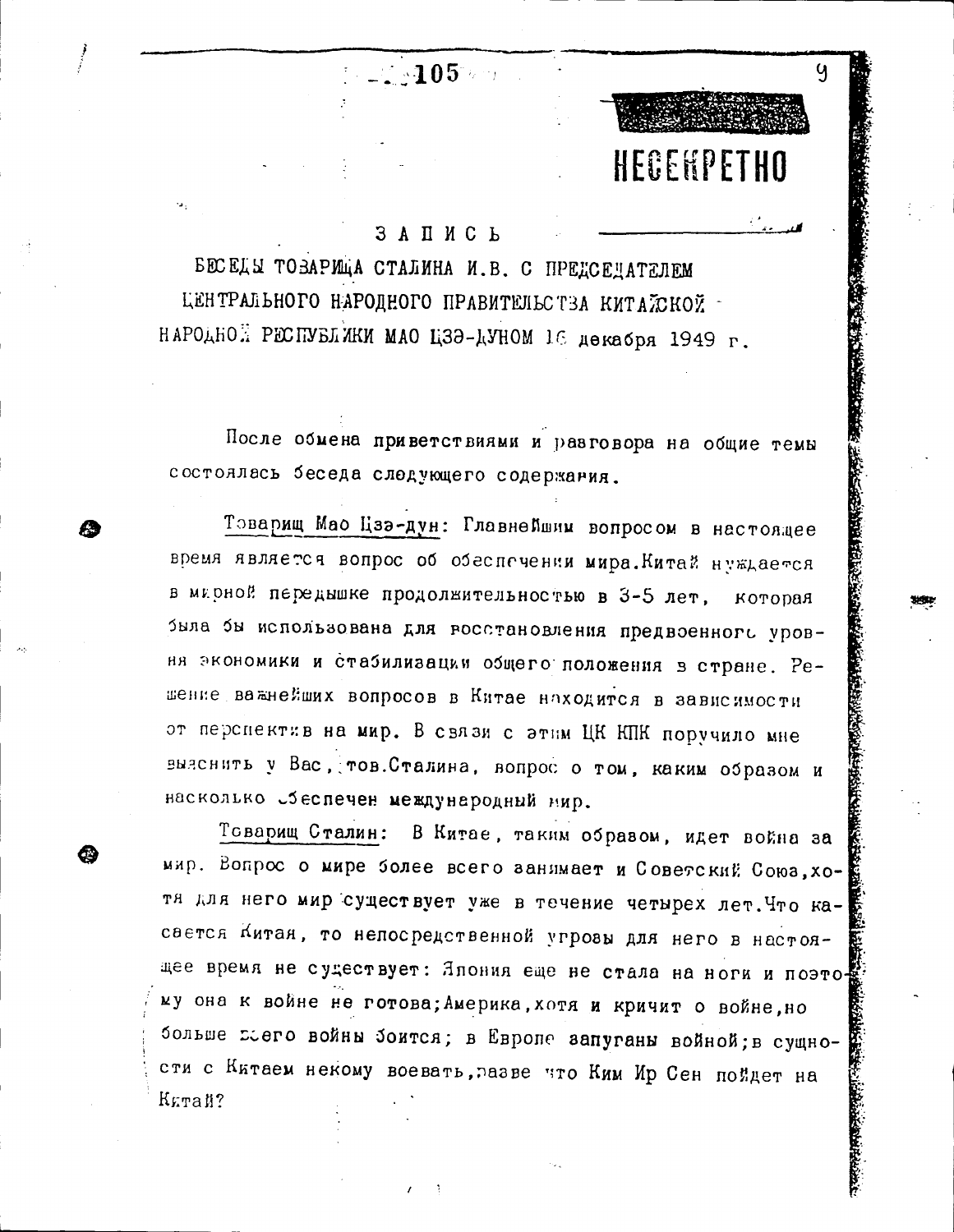$-22105$ 

q

HEGEKPETHO

#### ЗАПИСЬ

БЕСЕДЫ ТОВАРИЦА СТАЛИНА И.В. С ПРЕДСЕДАТЕЛЕМ ЦЕНТРАЛЬНОГО НАРОДНОГО ПРАВИТЕЛЬСТВА КИТАЙСКОЙ НАРОДНОЙ РЕСПУБЛИКИ МАО ЦЗЭ-ДУНОМ 16 декабря 1949 г.

После обмена приветствиями и разговора на общие темы состоялась беседа слодующего содержания.

Товарищ Мао Цзэ-дун: Главнейшим вопросом в настоящее время является вопрос об обеспечении мира. Китай нуждается в мирной передышке продолжительностью в 3-5 лет, которая была бы использована для восстановления предвоенного уровня экономики и стабилизации общего положения в стране. Решение важнейших вопросов в Китае находится в зависимости от перспектив на мир. В связи с этим ЦК КПК поручило мне выяснить у Вас, тов. Сталина, вопрос о том, каким образом и насколько эеспечен международный нир.

Товарищ Сталин: В Китае, таким обравом, идет война за мир. Вопрос о мире более всего занимает и Советский Союз, хотя для него мир существует уже в течение четырех лет. Что касается Китая, то непосредственной угровы для него в настоящее время не судествует: Япония еще не стала на ноги и поэтому она к войне не готова; Америка, хотя и кричит о войне, но больше псего войны боится; в Европе запуганы войной; в сущности с Китаем некому воевать, разве что Ким Ир Сен пойдет на  $K<sub>K</sub>$ Tan?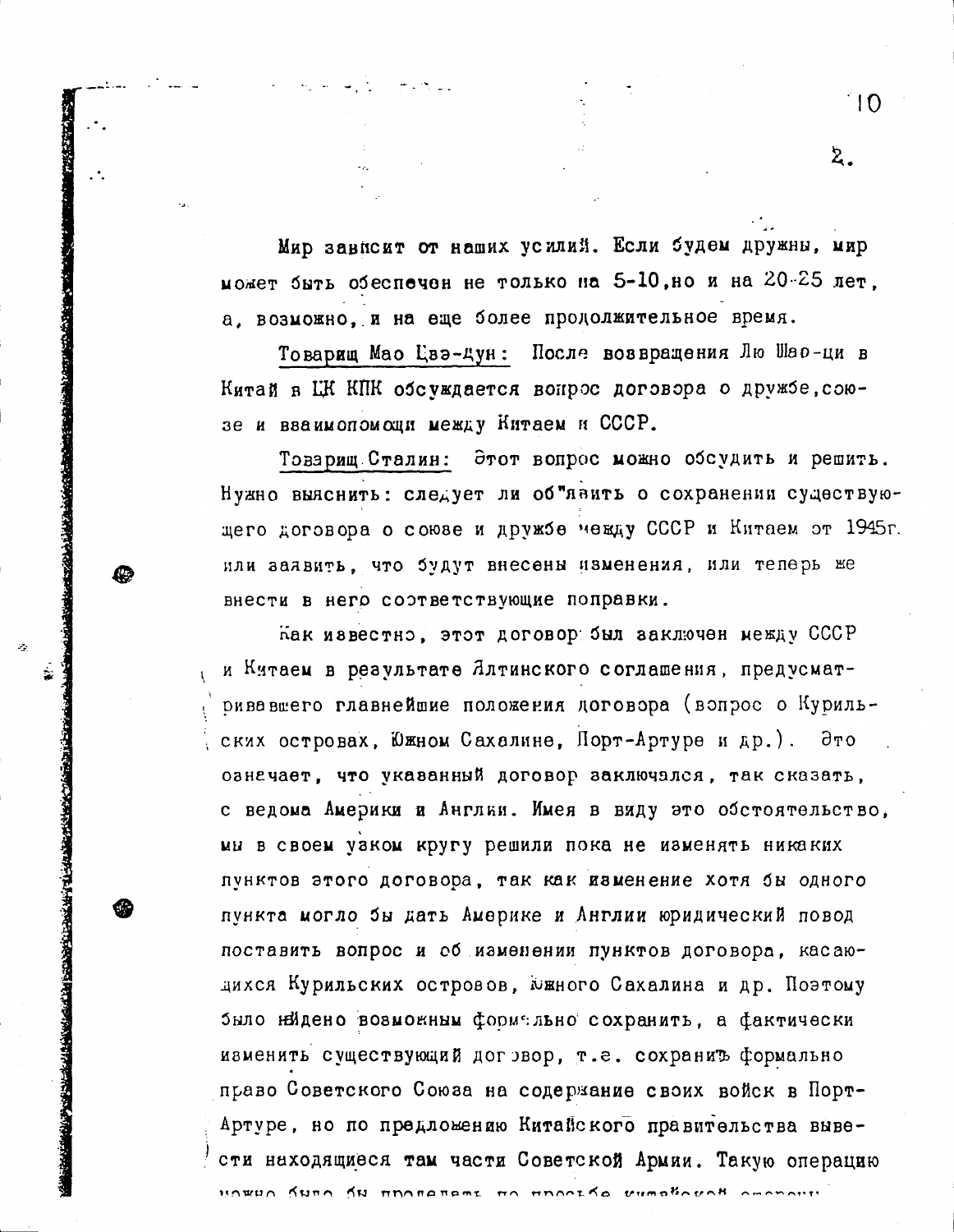Мир зависит от наших усилий. Если будем дружны, мир может быть обеспечен не только на 5-10, но и на 20-25 лет, а, возможно, и на еще более продолжительное время.

● 「地震の場合」

the state of the state of the control of the control of the control of the control of the control of the control of

A TANKA KANA KATA TANG PERTAMA PERANG PARA SERANG PADA KANYA KANYA KANYA KANYA KANYA KANYA KANYA KANYA KANYA K<br>Perang pada tanggal kanya kanya kanya kanya kanya kanya kanya kanya kanya kanya kanya kanya kanya kanya kanya k

级

 $\bigcap$ 

 $\mathbf{z}$ .

Товарищ Мао Цвэ-дун: После возвращения Лю Шао-ци в Китай в ЦК КПК обсуждается вопрос договора о дружбе, союзе и взаимопомощи между Китаем и СССР.

Товарищ Сталин: Этот вопрос можно обсудить и решить. Нужно выяснить: следует ли об"явить о сохранении судествуюдего договора о союзе и дружбе чежду СССР и Китаем от 1945г. или заявить, что будут внесены изменения, или теперь же внести в него соответствующие поправки.

как известно, этот договор был заключен между СССР и Китаем в результате Алтинского соглашения, предусматривавшего главнейшие положения договора (вопрос о Курильских островах, Южном Сахалине, Порт-Артуре и др.). Это означает, что указанный договор заключался, так сказать, с ведома Америки и Англии. Имея в виду это обстоятельство, мы в своем узком кругу решили пока не изменять никаких пунктов этого договора, так как изменение хотя бы одного пункта могло бы дать Америке и Англии юридический повод поставить вопрос и об изменении пунктов договора, касаюдихся Курильских островов, южного Сахалина и др. Поэтому было нидено возможным формельно сохранить, а фактически изменить существующий договор, т.е. сохранить формально право Советского Союза на содержание своих войск в Порт-Артуре, но по предложению Китайского правительства вывести находящиеся там части Советской Армии. Такую операцию

HORHO SNEO SN HOORARARE HO HOOCESS VERSKOUGH OF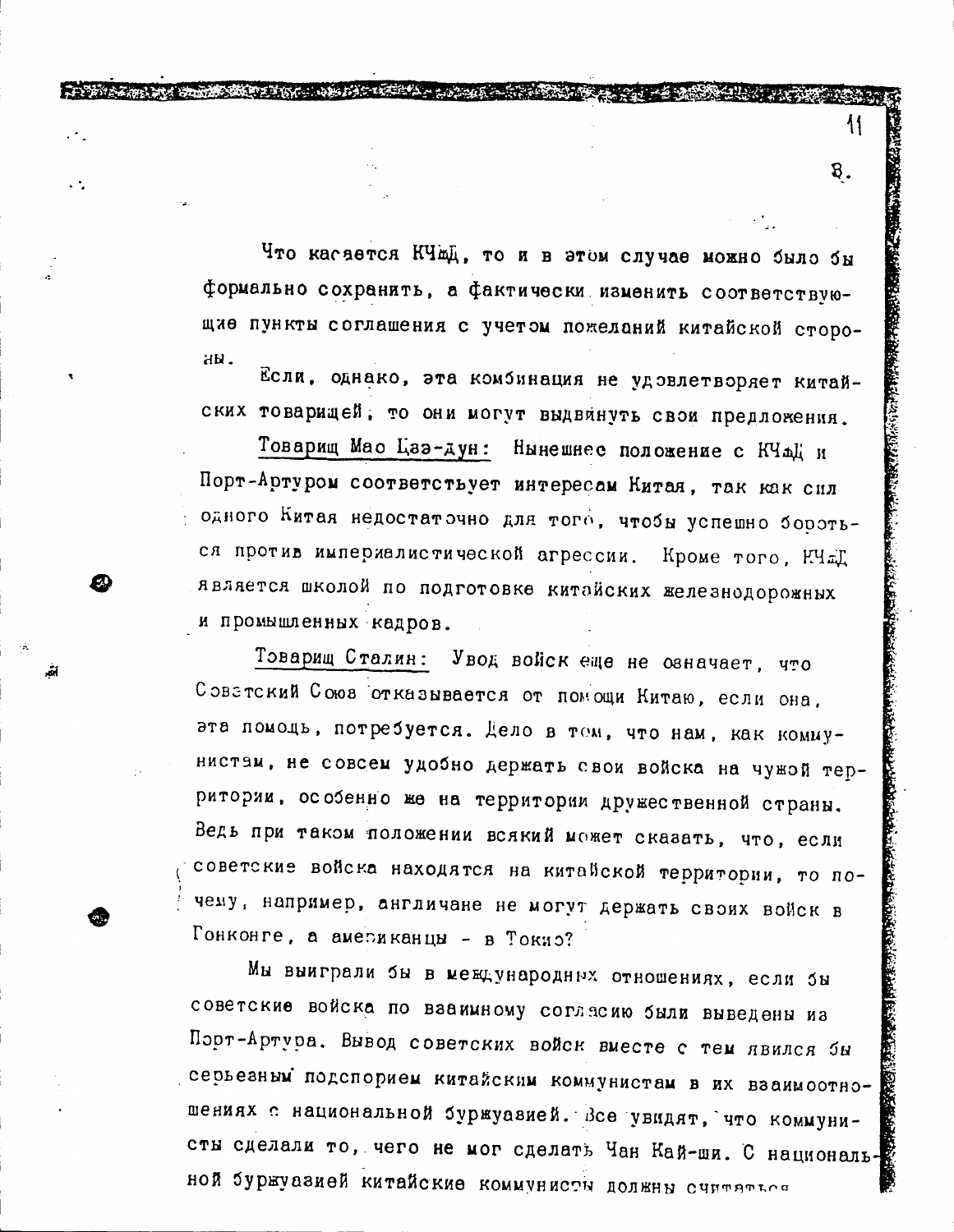Что касается КЧщи, то и в этом случае можно было бы формально сохранить, а фактически изменить соответствующие пункты соглашения с учетом пожеланий китайской стороabl.

 $\ddotsc$ 

8.

医皮肤性的 医皮肤性的 医心理学

Если, однако, эта комбинация не удовлетворяет китайских товарищей, то они могут выдвинуть свои предложения.

Товарищ Мао Цаэ-дун: Нынешнее положение с КЧаД и Порт-Артуром соответстьует интересам Китая, так как сил одного Китая недостаточно для того, чтобы успешно бороться против империалистической агрессии. Кроме того, КЧАД является школой по подготовке китайских железнодорожных и промышленных кадров.

Увод войск еще не означает, что Товарищ Сталин: Советский Союз отказывается от помощи Китаю, если она, эта помодь, потребуется. Дело в том, что нам, как коммунистам, не совсем удобно держать свои войска на чужой территории, особенно же на территории дружественной страны. Ведь при таком положении всякий может сказать, что, если советские войска находятся на китайской территории, то по-

чему, например, англичане не могут держать своих войск в Гонконге, а американцы - в Токио?<br>
Мы выиграли бы в международных отношениях, если бы советские войска по вааимному согласию были выведены из Порт-Артура. Вывод сов ной буржуазией китайские коммунисты должны считаться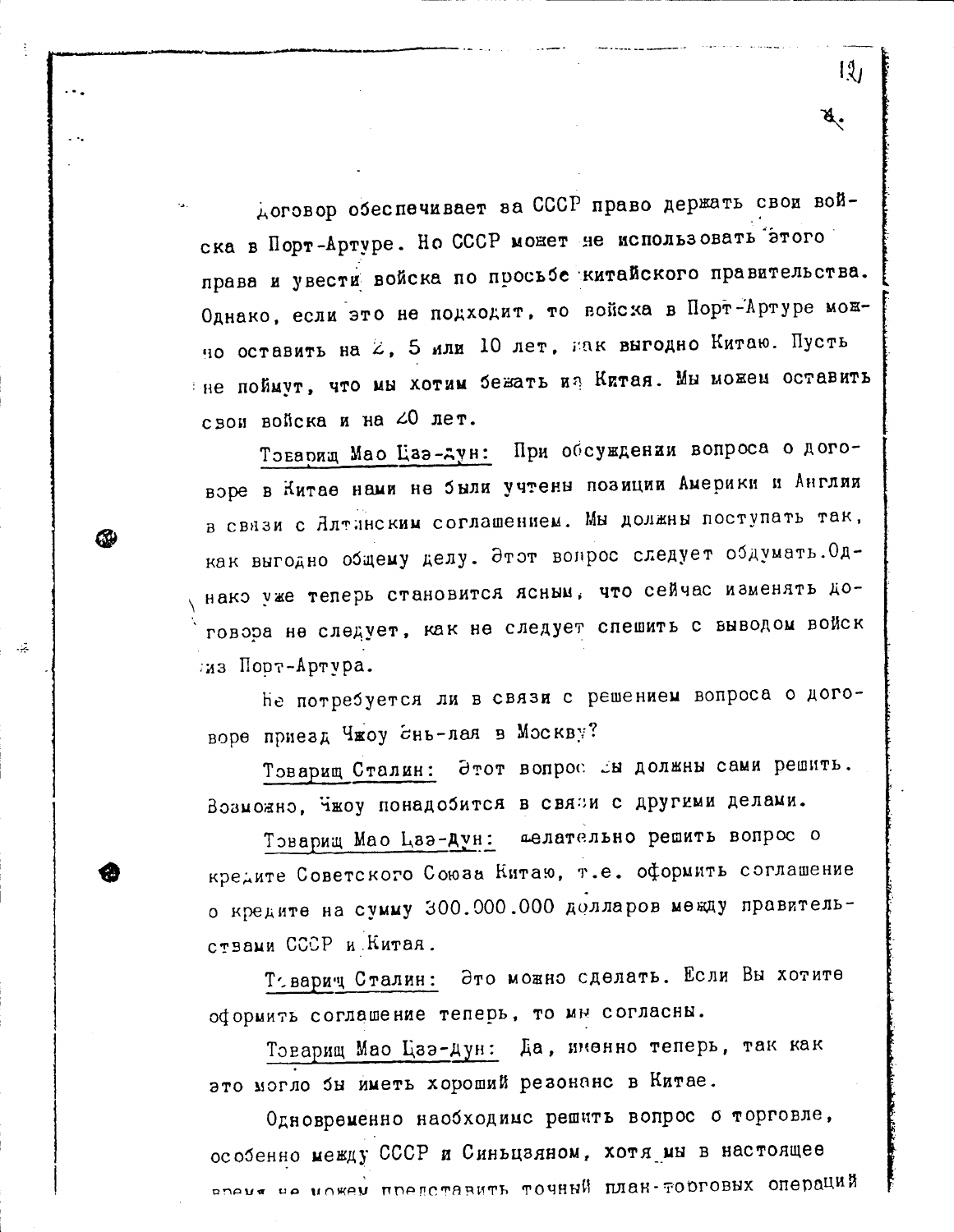договор обеспечивает за СССР право держать свои войска в Порт-Артуре. Но СССР может не использовать этого права и увести войска по просьбе китайского правительства. Однако, если это не подходит, то войска в Порт-Артуре можно оставить на 2, 5 или 10 лет, нак выгодно Китаю. Пусть не поймут, что мы хотим бежать из Китая. Мы можем оставить свои войска и на 20 лет.

При обсуждении вопроса о дого-Тэвариш Мао Цаэ-дун: воре в Китае нами не были учтены позиции Америки и Англии в связи с Ялтинским соглашением. Мы должны поступать так, как выгодно общему делу. Этот вопрос следует обдумать. Однако уже теперь становится ясным, что сейчас изменять договора не следует, как не следует спешить с выводом войск Ma Hopr-Aprypa.

не потребуется ли в связи с решением вопроса о договоре приезд Чжоу снь-лая в Москву?

Товарищ Сталин: Этот вопрос вы должны сами решить. Возможно, чжоу понадобится в связи с другими делами.

Тэварищ Мао Laa-дун: аелательно решить вопрос о кредите Советского Союза Китаю, т.е. оформить соглашение о кредите на сумму 300.000.000 долларов между правительствами СССР и Китая.

Это можно сделать. Если Вы хотите Теварич Сталин: оформить соглашение теперь, то мн согласны.

Товарищ Мао Цзэ-дун: Да, именно теперь, так как это могло бы иметь хороший резонанс в Китае.

Одновременно наобходимс решить вопрос о торговле, особенно между СССР и Синьцзяном, хотя мы в настоящее PDAME BA NOWAN HOARCTARNTE TOURNH DUAR-TODFOBBX ONODAUNE

ඟ

ά.

 $\frac{19}{12}$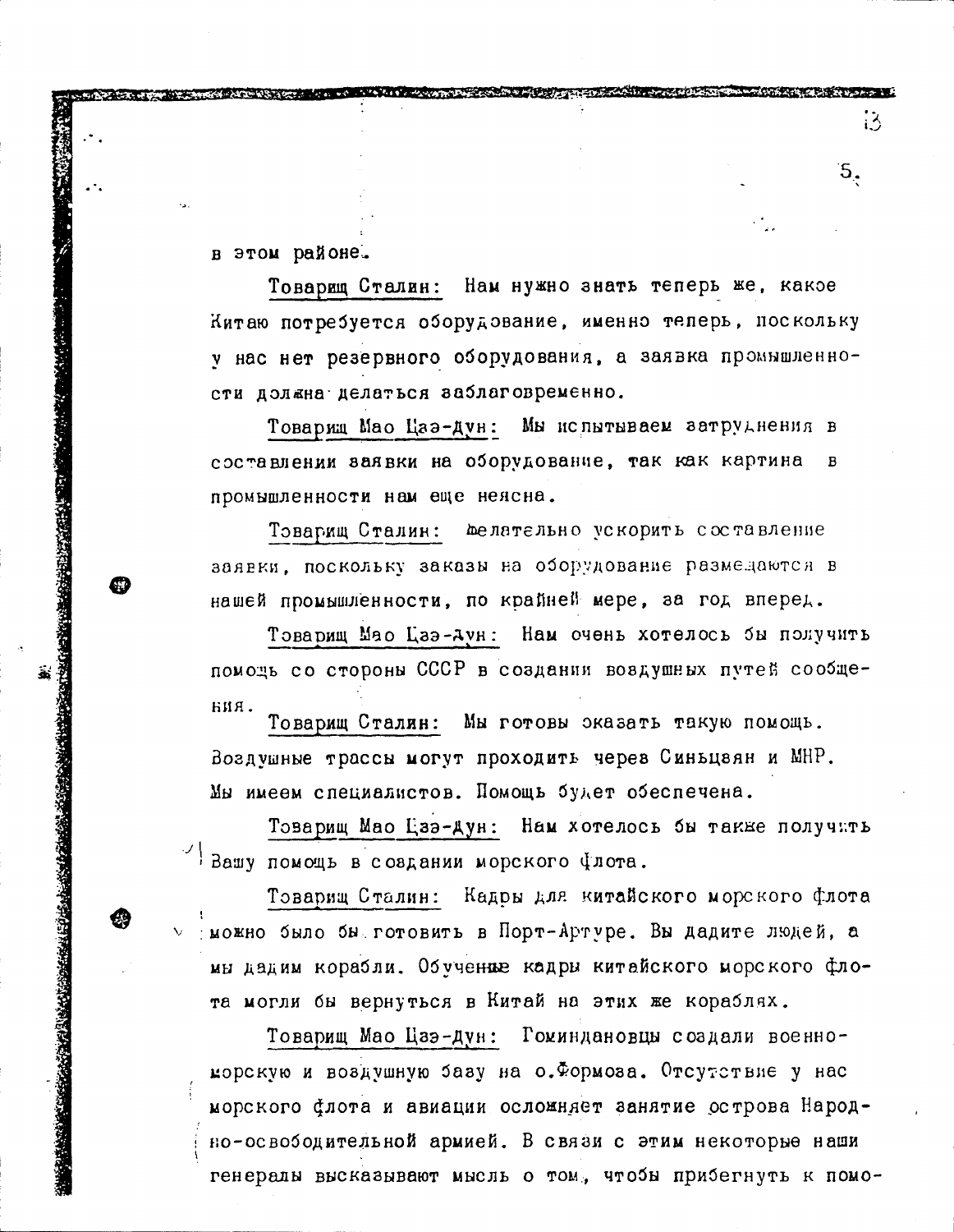в этом районе.

 $\ddotsc$ 

a se poder de la portuga de la provincia de la provincia de la provincia de la provincia de la provincia de la

Товарищ Сталин: Нам нужно знать теперь же, какое Китаю потребуется оборудование, именно теперь, поскольку у нас нет резервного оборудования, а заявка промышленности должна делаться заблаговременно.

i3

 $\mathbf{S}_{\bullet}$ 

Мы испытываем затруднения в Товарищ Мао Цаэ-дун: составлении заявки на оборудование, так как картина  $\overline{B}$ промышленности нам еще неясна.

Товарищ Сталин: фелательно ускорить составление заявки, поскольку заказы на оборудование размедаются в нашей промышленности, по крайней мере, за год вперед.

Товарищ Мао Цзэ-дун: Нам очень хотелось бы получить помодь со стороны СССР в создании воздушных путей сообщения.

Товарищ Сталин: Мы готовы эказать такую помощь. Воздушные трассы могут проходить черев Синьцзян и МНР. Мы имеем специалистов. Помощь будет обеспечена.

Нам хотелось бы также получить Товарищ Мао Цзэ-дун: Вашу помощь в создании морского флота.

Товарищ Сталин: Кадры для китайского морского флота можно было бы готовить в Порт-Артуре. Вы дадите людей, а мы дадим корабли. Обученые кадры китайского морского флота могли бы вернуться в Китай на этих же кораблях.

Товарищ Мао Цзэ-дун: Гоминдановцы создали военнонорскую и воздушную базу на о.Формоза. Отсутствие у нас морского флота и авиации осложняет занятие острова Народно-освободительной армией. В связи с этим некоторые наши генералы высказывают мысль о том, чтобы прибегнуть к помо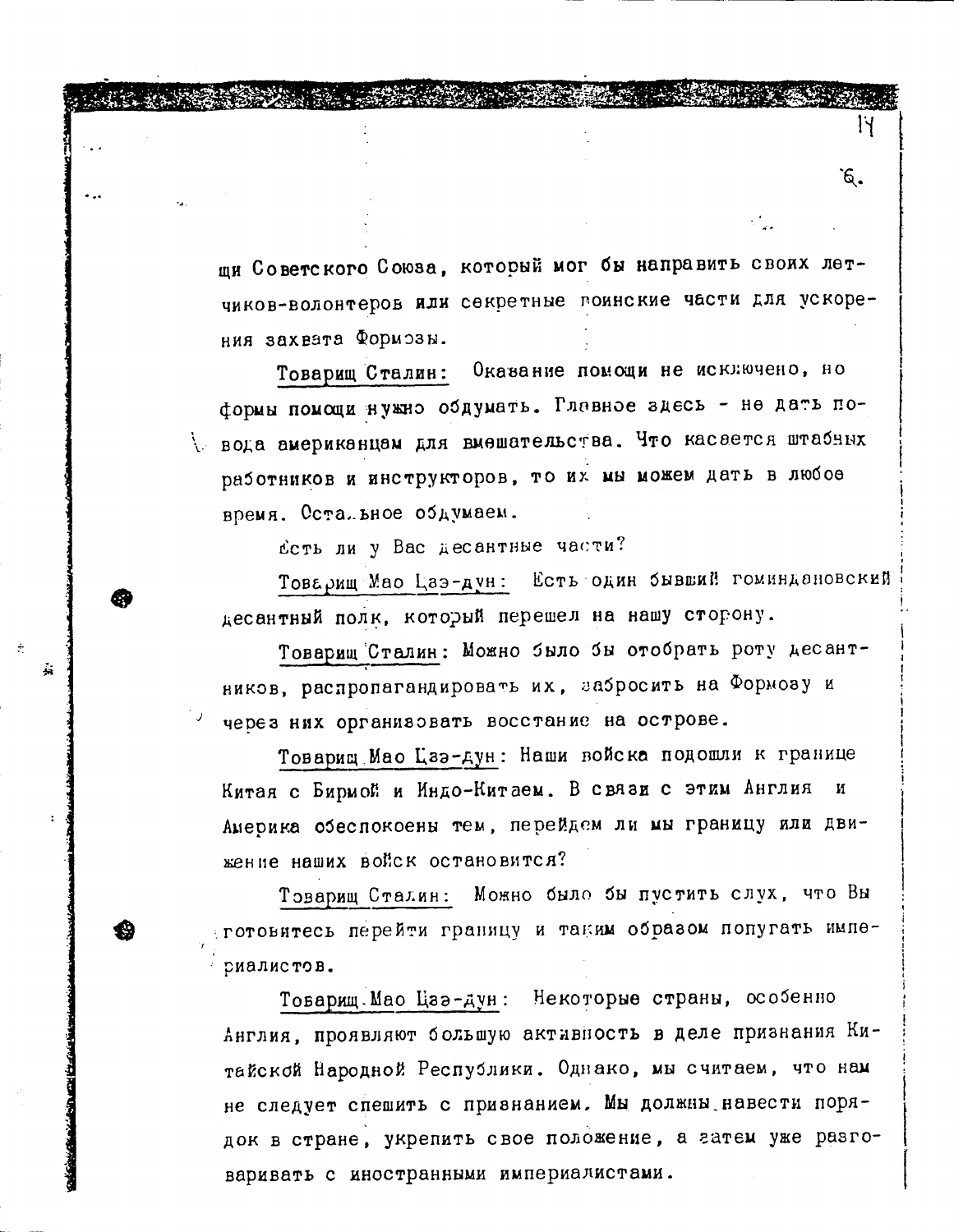щи Советского Союза, который мог бы направить своих летчиков-волонтеров или секретные воинские части для ускорения захвата Формозы.

`6.

Оказание помощи не исключено, но Товарищ Сталин: формы помощи нужно обдумать. Главное здесь - не дать по-А вода американцам для вмешательства. Что касается штабных работников и инструкторов, то их мы можем дать в любое время. Остальное обдумаем.

ссть ли у Вас десантные части?

嘉

Есть один бывший гоминдановский Товарищ Мао Цаэ-дун: десантный полк, который перешел на нашу сторону.

Товарищ Сталин: Можно было бы отобрать роту десантников, распропагандировать их, забросить на Формозу и через них организовать восстание на острове.

Товариц Мао Цзэ-дун: Наши войска подошли к границе Китая с Бирмой и Индо-Китаем. В связи с этим Англия и Америка обеспокоены тем, перейдем ли мы границу или движение наших войск остановится?

Тэварищ Сталин: Можно было бы пустить слух, что Вы готовитесь перейти границу и таким образом попугать империалистов.

Товарищ. Мао Цзэ-дун: Некоторые страны, особенно Англия, проявляют большую активность в деле признания Китайской Народной Республики. Однако, мы считаем, что нам не следует спешить с признанием. Мы должны навести порядок в стране, укрепить свое положение, а затем уже разговаривать с иностранными империалистами.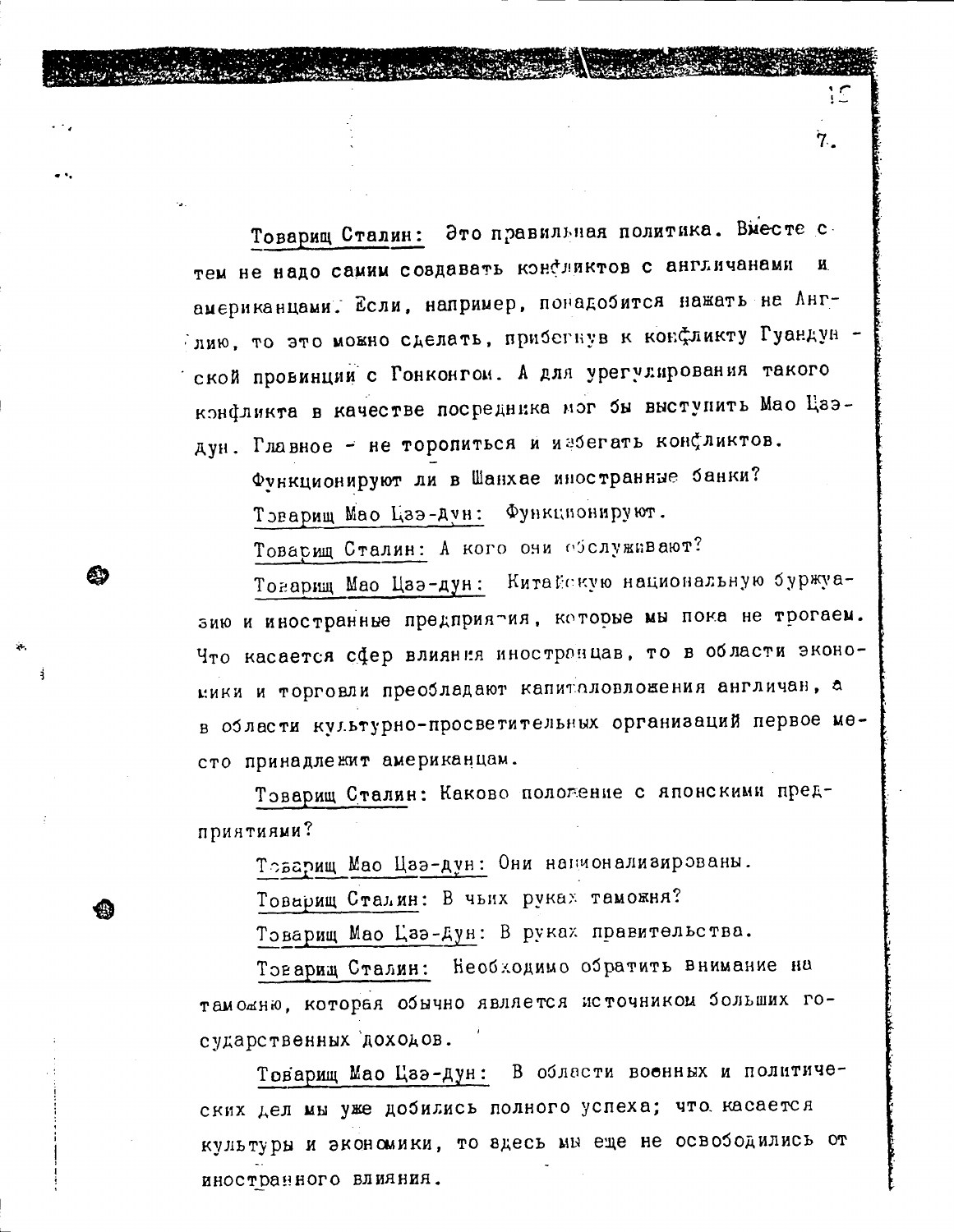Товарищ Сталин: Это правильная политика. Вместе с тем не надо самим создавать конфликтов с англичанами  $\mathbf{M}$ американцами. Если, например, понадобится нажать на Ангиию, то это можно сделать, прибегнув к конфликту Гуандун ской провинции с Гонконгом. А для урегулирования такого конфликта в качестве посредника мог бы выступить Мао Цаэдун. Главное - не торопиться и избегать конфликтов.

Функционируют ли в Шанхае иностранные банки? Тэварищ Мао Цзэ-дун: Функционируют.

Товарищ Сталин: А кого они обслуживают?

Тонарищ Мао Цзэ-дун: Китайскую национальную буржуазию и иностранные предприятия, которые мы пока не трогаем. Что касается сфер влияния иностранцав, то в области эконокики и торговли преобладают капитоловложения англичан, а в области культурно-просветительных организаций первое место принадлежит американцам.

Товарищ Сталин: Каково положение с японскими предприятиями?

Тэварищ Мао Цаэ-дун: Они наимонализированы.

Товарищ Сталин: В чьих руках таможня?

Товарищ Мао Цзэ-дун: В руках правительства.

Тэварищ Сталин: Необходимо обратить внимание на таможню, которая обычно является источником больших государственных доходов.

В области военных и политиче-Товарищ Мао Цзэ-дун: ских дел мы уже добились полного успеха; что касается культуры и экономики, то вдесь мы еще не освободились от иностранного влияния.

፟፟፟፟፟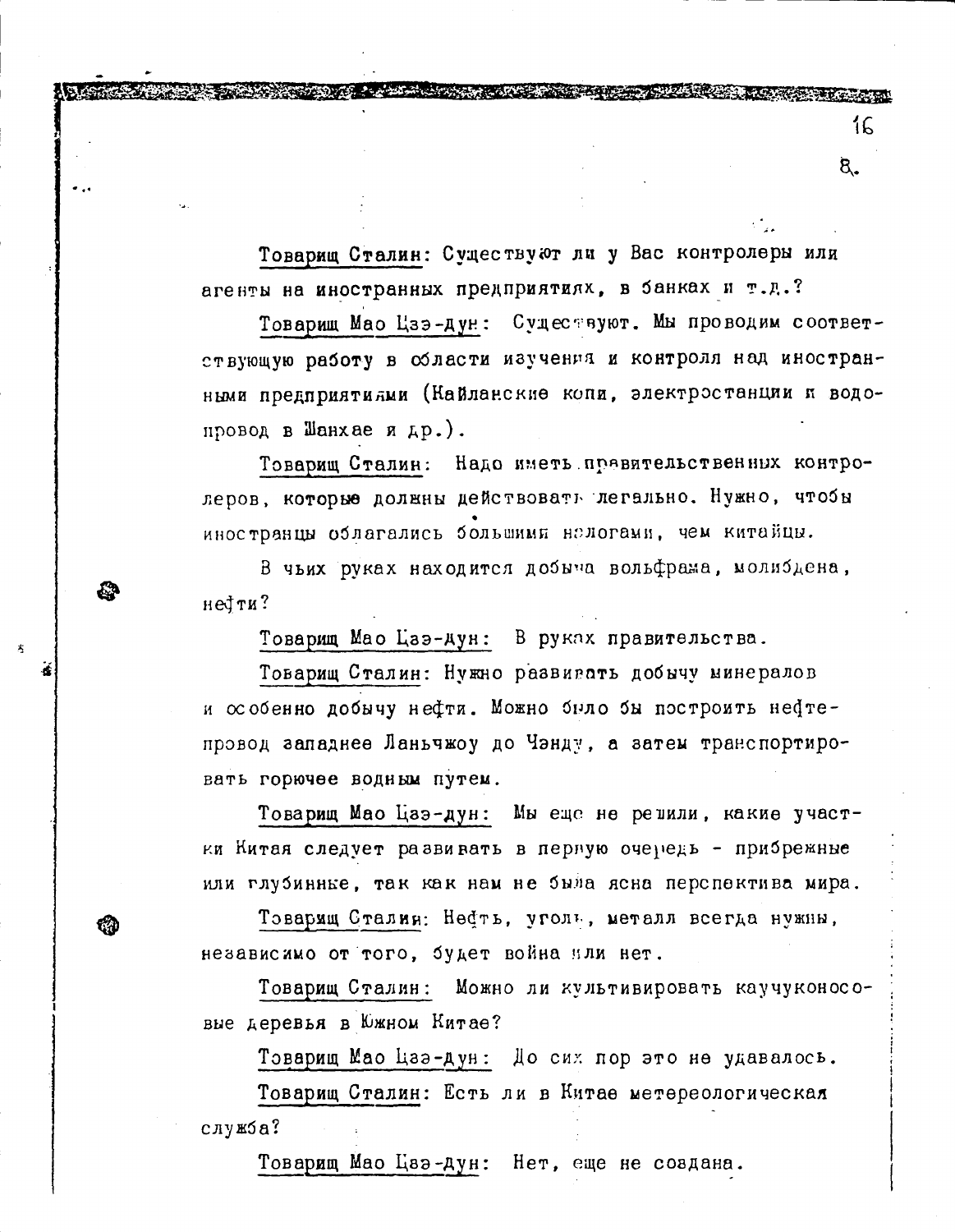Товарищ Сталин: Судествуют ли у Вас контролеры или агенты на иностранных предприятиях, в банках и т.д.?

1ĥ

৪.

**CONTRACTORS** A CONTRACTORS

62

Товарищ Мао Цзэ-дун: Судествуют. Мы проводим соответствующую работу в сбласти изучения и контроля над иностранными предприятилми (Кайланские копи, электростанции и водопровод в Шанхае и др.).

Товарищ Сталин: Надо иметь превительственных контролеров, которые должны действовать легально. Нужно, чтобы иностранцы облагались большими нелогами, чем китайцы.

В чьих руках находится добыча вольфрама, молибдена, нефти?

Товарищ Мао Цаэ-дун: В руках правительства.

Товарищ Сталин: Нужно развивать добычу минералов и особенно добычу нефти. Можно было бы построить нефтепровод западнее Ланьчжоу до Чэнду, а затем транспортировать горючее водным путем.

Товарищ Мао Цзэ-дун: Мы еще не решили, какие участки Китая следует развивать в перную оченедь - прибрежные или глубинные, так как нам не была ясна перспектива мира.

Тэварищ Сталия: Нефть, уголь, металл всегда нужны, независимо от того, будет война или нет.

Товарищ Сталин: Можно ли культивировать каучуконосовые деревья в Южном Китае?

Товарищ Мао Цзэ-дун: До сих пор это не удавалось.

Товарищ Сталин: Есть ли в Китае метереологическая служба?

Товарищ Мао Цзэ-дун: Нет, еще не создана.